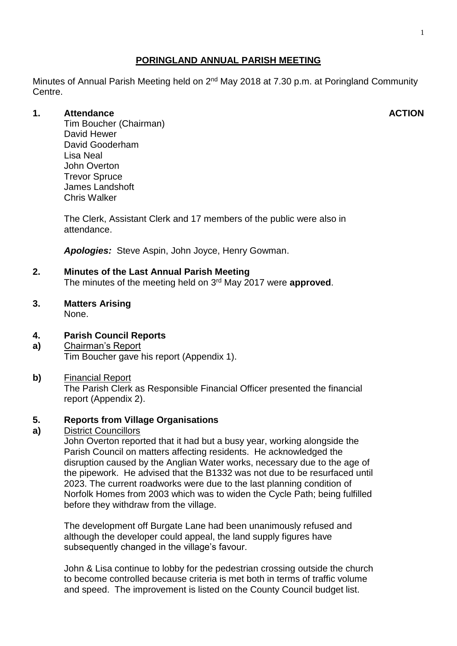# **PORINGLAND ANNUAL PARISH MEETING**

Minutes of Annual Parish Meeting held on 2<sup>nd</sup> May 2018 at 7.30 p.m. at Poringland Community Centre.

## **1. Attendance**

Tim Boucher (Chairman) David Hewer David Gooderham Lisa Neal John Overton Trevor Spruce James Landshoft Chris Walker

The Clerk, Assistant Clerk and 17 members of the public were also in attendance.

*Apologies:* Steve Aspin, John Joyce, Henry Gowman.

# **2. Minutes of the Last Annual Parish Meeting**

The minutes of the meeting held on 3 rd May 2017 were **approved**.

## **3. Matters Arising**

None.

#### **4. Parish Council Reports**

**a)** Chairman's Report Tim Boucher gave his report (Appendix 1).

#### **b)** Financial Report

The Parish Clerk as Responsible Financial Officer presented the financial report (Appendix 2).

#### **5. Reports from Village Organisations**

#### **a)** District Councillors

John Overton reported that it had but a busy year, working alongside the Parish Council on matters affecting residents. He acknowledged the disruption caused by the Anglian Water works, necessary due to the age of the pipework. He advised that the B1332 was not due to be resurfaced until 2023. The current roadworks were due to the last planning condition of Norfolk Homes from 2003 which was to widen the Cycle Path; being fulfilled before they withdraw from the village.

The development off Burgate Lane had been unanimously refused and although the developer could appeal, the land supply figures have subsequently changed in the village's favour.

John & Lisa continue to lobby for the pedestrian crossing outside the church to become controlled because criteria is met both in terms of traffic volume and speed. The improvement is listed on the County Council budget list.

#### **ACTION**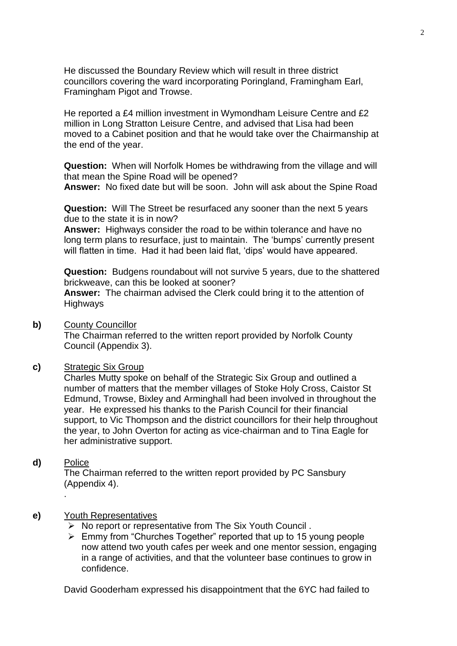He discussed the Boundary Review which will result in three district councillors covering the ward incorporating Poringland, Framingham Earl, Framingham Pigot and Trowse.

He reported a £4 million investment in Wymondham Leisure Centre and £2 million in Long Stratton Leisure Centre, and advised that Lisa had been moved to a Cabinet position and that he would take over the Chairmanship at the end of the year.

**Question:** When will Norfolk Homes be withdrawing from the village and will that mean the Spine Road will be opened?

**Answer:** No fixed date but will be soon. John will ask about the Spine Road

**Question:** Will The Street be resurfaced any sooner than the next 5 years due to the state it is in now?

**Answer:** Highways consider the road to be within tolerance and have no long term plans to resurface, just to maintain. The 'bumps' currently present will flatten in time. Had it had been laid flat, 'dips' would have appeared.

**Question:** Budgens roundabout will not survive 5 years, due to the shattered brickweave, can this be looked at sooner? **Answer:** The chairman advised the Clerk could bring it to the attention of **Highways** 

**b)** County Councillor

The Chairman referred to the written report provided by Norfolk County Council (Appendix 3).

**c)** Strategic Six Group

Charles Mutty spoke on behalf of the Strategic Six Group and outlined a number of matters that the member villages of Stoke Holy Cross, Caistor St Edmund, Trowse, Bixley and Arminghall had been involved in throughout the year. He expressed his thanks to the Parish Council for their financial support, to Vic Thompson and the district councillors for their help throughout the year, to John Overton for acting as vice-chairman and to Tina Eagle for her administrative support.

**d)** Police

.

The Chairman referred to the written report provided by PC Sansbury (Appendix 4).

- **e)** Youth Representatives
	- $\triangleright$  No report or representative from The Six Youth Council.
	- $\triangleright$  Emmy from "Churches Together" reported that up to 15 young people now attend two youth cafes per week and one mentor session, engaging in a range of activities, and that the volunteer base continues to grow in confidence.

David Gooderham expressed his disappointment that the 6YC had failed to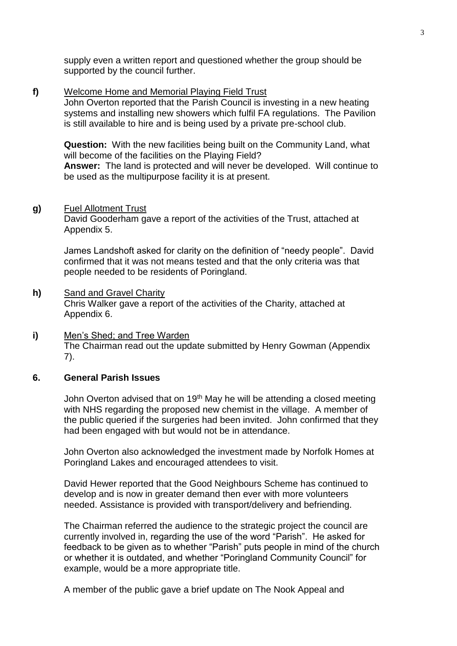supply even a written report and questioned whether the group should be supported by the council further.

#### **f)** Welcome Home and Memorial Playing Field Trust

John Overton reported that the Parish Council is investing in a new heating systems and installing new showers which fulfil FA regulations. The Pavilion is still available to hire and is being used by a private pre-school club.

**Question:** With the new facilities being built on the Community Land, what will become of the facilities on the Playing Field? **Answer:** The land is protected and will never be developed. Will continue to be used as the multipurpose facility it is at present.

#### **g)** Fuel Allotment Trust

David Gooderham gave a report of the activities of the Trust, attached at Appendix 5.

James Landshoft asked for clarity on the definition of "needy people". David confirmed that it was not means tested and that the only criteria was that people needed to be residents of Poringland.

#### **h)** Sand and Gravel Charity

Chris Walker gave a report of the activities of the Charity, attached at Appendix 6.

#### **i)** Men's Shed; and Tree Warden The Chairman read out the update submitted by Henry Gowman (Appendix 7).

#### **6. General Parish Issues**

John Overton advised that on 19<sup>th</sup> May he will be attending a closed meeting with NHS regarding the proposed new chemist in the village. A member of the public queried if the surgeries had been invited. John confirmed that they had been engaged with but would not be in attendance.

John Overton also acknowledged the investment made by Norfolk Homes at Poringland Lakes and encouraged attendees to visit.

David Hewer reported that the Good Neighbours Scheme has continued to develop and is now in greater demand then ever with more volunteers needed. Assistance is provided with transport/delivery and befriending.

The Chairman referred the audience to the strategic project the council are currently involved in, regarding the use of the word "Parish". He asked for feedback to be given as to whether "Parish" puts people in mind of the church or whether it is outdated, and whether "Poringland Community Council" for example, would be a more appropriate title.

A member of the public gave a brief update on The Nook Appeal and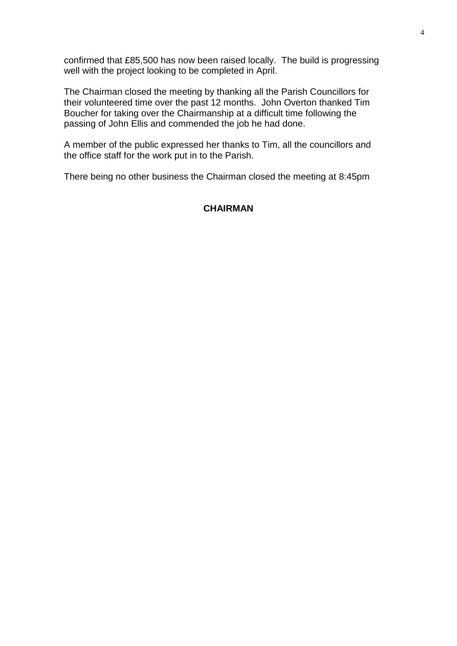confirmed that £85,500 has now been raised locally. The build is progressing well with the project looking to be completed in April.

The Chairman closed the meeting by thanking all the Parish Councillors for their volunteered time over the past 12 months. John Overton thanked Tim Boucher for taking over the Chairmanship at a difficult time following the passing of John Ellis and commended the job he had done.

A member of the public expressed her thanks to Tim, all the councillors and the office staff for the work put in to the Parish.

There being no other business the Chairman closed the meeting at 8:45pm

## **CHAIRMAN**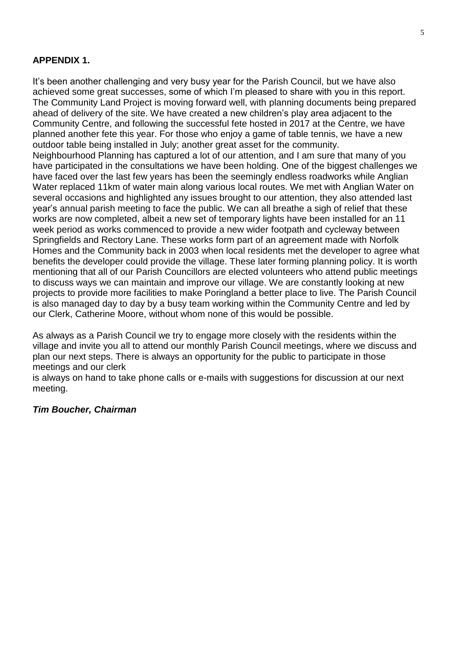# **APPENDIX 1.**

It's been another challenging and very busy year for the Parish Council, but we have also achieved some great successes, some of which I'm pleased to share with you in this report. The Community Land Project is moving forward well, with planning documents being prepared ahead of delivery of the site. We have created a new children's play area adjacent to the Community Centre, and following the successful fete hosted in 2017 at the Centre, we have planned another fete this year. For those who enjoy a game of table tennis, we have a new outdoor table being installed in July; another great asset for the community. Neighbourhood Planning has captured a lot of our attention, and I am sure that many of you have participated in the consultations we have been holding. One of the biggest challenges we have faced over the last few years has been the seemingly endless roadworks while Anglian Water replaced 11km of water main along various local routes. We met with Anglian Water on several occasions and highlighted any issues brought to our attention, they also attended last year's annual parish meeting to face the public. We can all breathe a sigh of relief that these works are now completed, albeit a new set of temporary lights have been installed for an 11 week period as works commenced to provide a new wider footpath and cycleway between Springfields and Rectory Lane. These works form part of an agreement made with Norfolk Homes and the Community back in 2003 when local residents met the developer to agree what benefits the developer could provide the village. These later forming planning policy. It is worth mentioning that all of our Parish Councillors are elected volunteers who attend public meetings to discuss ways we can maintain and improve our village. We are constantly looking at new projects to provide more facilities to make Poringland a better place to live. The Parish Council is also managed day to day by a busy team working within the Community Centre and led by our Clerk, Catherine Moore, without whom none of this would be possible.

As always as a Parish Council we try to engage more closely with the residents within the village and invite you all to attend our monthly Parish Council meetings, where we discuss and plan our next steps. There is always an opportunity for the public to participate in those meetings and our clerk

is always on hand to take phone calls or e-mails with suggestions for discussion at our next meeting.

## *Tim Boucher, Chairman*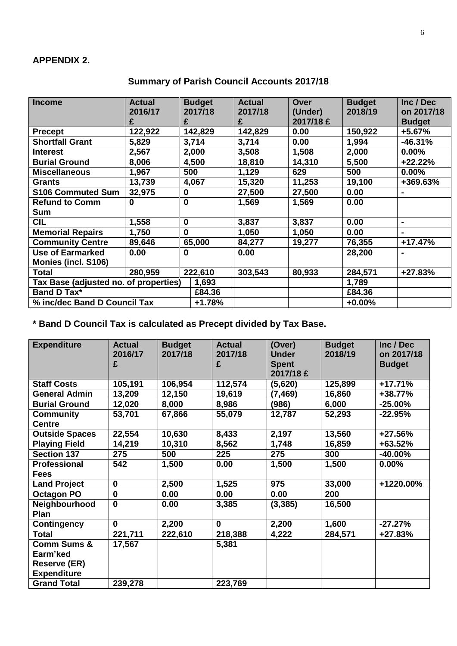| <b>Income</b>                         | <b>Actual</b> | <b>Budget</b> |          | <b>Actual</b> | Over      | <b>Budget</b> | Inc / Dec      |
|---------------------------------------|---------------|---------------|----------|---------------|-----------|---------------|----------------|
|                                       | 2016/17       |               | 2017/18  | 2017/18       | (Under)   | 2018/19       | on 2017/18     |
|                                       | £             | £             |          | £             | 2017/18 £ |               | <b>Budget</b>  |
| <b>Precept</b>                        | 122,922       | 142,829       |          | 142,829       | 0.00      | 150,922       | $+5.67%$       |
| <b>Shortfall Grant</b>                | 5,829         | 3,714         |          | 3,714         | 0.00      | 1,994         | $-46.31%$      |
| <b>Interest</b>                       | 2,567         | 2,000         |          | 3,508         | 1,508     | 2,000         | $0.00\%$       |
| <b>Burial Ground</b>                  | 8,006         | 4,500         |          | 18,810        | 14,310    | 5,500         | +22.22%        |
| <b>Miscellaneous</b>                  | 1,967         | 500           |          | 1,129         | 629       | 500           | $0.00\%$       |
| Grants                                | 13,739        | 4,067         |          | 15,320        | 11,253    | 19,100        | +369.63%       |
| <b>S106 Commuted Sum</b>              | 32,975        | 0             |          | 27,500        | 27,500    | 0.00          | $\blacksquare$ |
| <b>Refund to Comm</b>                 | 0             | $\mathbf 0$   |          | 1,569         | 1,569     | 0.00          |                |
| Sum                                   |               |               |          |               |           |               |                |
| <b>CIL</b>                            | 1,558         | 0             |          | 3,837         | 3,837     | 0.00          | $\blacksquare$ |
| <b>Memorial Repairs</b>               | 1,750         | $\mathbf{0}$  |          | 1,050         | 1,050     | 0.00          | $\blacksquare$ |
| <b>Community Centre</b>               | 89,646        | 65,000        |          | 84,277        | 19,277    | 76,355        | $+17.47%$      |
| <b>Use of Earmarked</b>               | 0.00          | 0             |          | 0.00          |           | 28,200        | $\blacksquare$ |
| <b>Monies (incl. S106)</b>            |               |               |          |               |           |               |                |
| Total                                 | 280,959       |               | 222,610  | 303,543       | 80,933    | 284,571       | +27.83%        |
| Tax Base (adjusted no. of properties) |               |               | 1,693    |               |           | 1,789         |                |
| <b>Band D Tax*</b>                    |               |               | £84.36   |               |           | £84.36        |                |
| % inc/dec Band D Council Tax          |               |               | $+1.78%$ |               |           | $+0.00%$      |                |

# **Summary of Parish Council Accounts 2017/18**

**\* Band D Council Tax is calculated as Precept divided by Tax Base.**

| <b>Expenditure</b>                                                              | <b>Actual</b><br>2016/17<br>£ | <b>Budget</b><br>2017/18 | <b>Actual</b><br>2017/18<br>£ | (Over)<br><b>Under</b><br><b>Spent</b><br>2017/18 £ | <b>Budget</b><br>2018/19 | Inc / Dec<br>on 2017/18<br><b>Budget</b> |
|---------------------------------------------------------------------------------|-------------------------------|--------------------------|-------------------------------|-----------------------------------------------------|--------------------------|------------------------------------------|
| <b>Staff Costs</b>                                                              | 105,191                       | 106,954                  | 112,574                       | (5,620)                                             | 125,899                  | $+17.71%$                                |
| <b>General Admin</b>                                                            | 13,209                        | 12,150                   | 19,619                        | (7, 469)                                            | 16,860                   | +38.77%                                  |
| <b>Burial Ground</b>                                                            | 12,020                        | 8,000                    | 8,986                         | (986)                                               | 6,000                    | $-25.00\%$                               |
| <b>Community</b><br><b>Centre</b>                                               | 53,701                        | 67,866                   | 55,079                        | 12,787                                              | 52,293                   | $-22.95%$                                |
| <b>Outside Spaces</b>                                                           | 22,554                        | 10,630                   | 8,433                         | 2,197                                               | 13,560                   | +27.56%                                  |
| <b>Playing Field</b>                                                            | 14,219                        | 10,310                   | 8,562                         | 1,748                                               | 16,859                   | +63.52%                                  |
| <b>Section 137</b>                                                              | 275                           | 500                      | 225                           | 275                                                 | 300                      | $-40.00\%$                               |
| <b>Professional</b><br><b>Fees</b>                                              | 542                           | 1,500                    | 0.00                          | 1,500                                               | 1,500                    | $0.00\%$                                 |
| <b>Land Project</b>                                                             | $\mathbf 0$                   | 2,500                    | 1,525                         | 975                                                 | 33,000                   | +1220.00%                                |
| <b>Octagon PO</b>                                                               | $\mathbf 0$                   | 0.00                     | 0.00                          | 0.00                                                | 200                      |                                          |
| Neighbourhood<br>Plan                                                           | $\mathbf{0}$                  | 0.00                     | 3,385                         | (3, 385)                                            | 16,500                   |                                          |
| <b>Contingency</b>                                                              | 0                             | 2,200                    | $\mathbf 0$                   | 2,200                                               | 1,600                    | $-27.27%$                                |
| <b>Total</b>                                                                    | 221,711                       | 222,610                  | 218,388                       | 4,222                                               | 284,571                  | $+27.83%$                                |
| <b>Comm Sums &amp;</b><br>Earm'ked<br><b>Reserve (ER)</b><br><b>Expenditure</b> | 17,567                        |                          | 5,381                         |                                                     |                          |                                          |
| <b>Grand Total</b>                                                              | 239,278                       |                          | 223,769                       |                                                     |                          |                                          |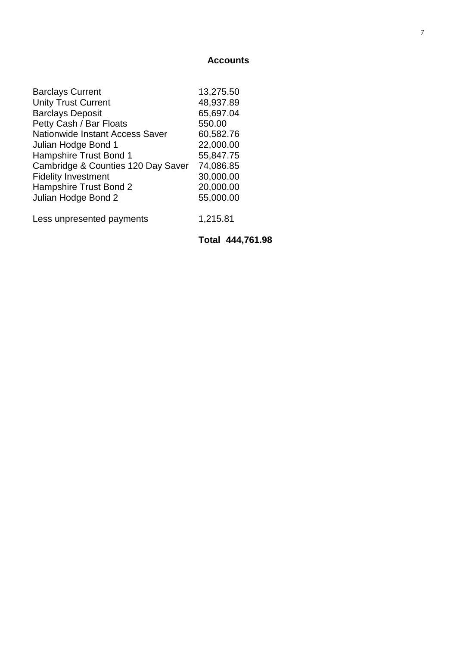#### **Accounts**

|                                        | Total 444,761.98 |
|----------------------------------------|------------------|
| Less unpresented payments              | 1,215.81         |
| Julian Hodge Bond 2                    | 55,000.00        |
| Hampshire Trust Bond 2                 | 20,000.00        |
| <b>Fidelity Investment</b>             | 30,000.00        |
| Cambridge & Counties 120 Day Saver     | 74,086.85        |
| <b>Hampshire Trust Bond 1</b>          | 55,847.75        |
| Julian Hodge Bond 1                    | 22,000.00        |
| <b>Nationwide Instant Access Saver</b> | 60,582.76        |
| Petty Cash / Bar Floats                | 550.00           |
| <b>Barclays Deposit</b>                | 65,697.04        |
| <b>Unity Trust Current</b>             | 48,937.89        |
| <b>Barclays Current</b>                | 13,275.50        |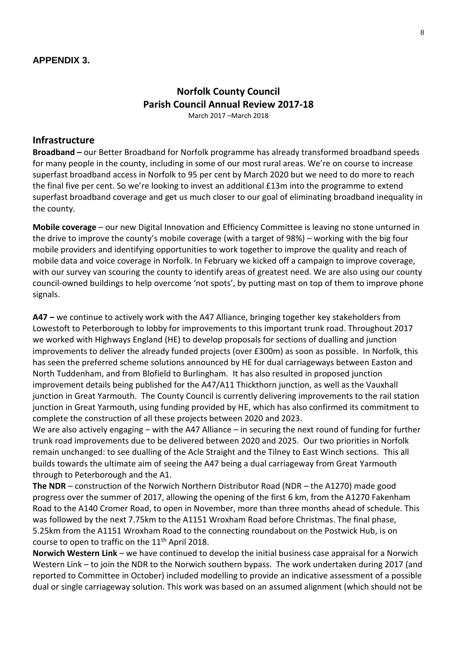# **Norfolk County Council Parish Council Annual Review 2017-18** March 2017 –March 2018

#### **Infrastructure**

**Broadband –** our Better Broadband for Norfolk programme has already transformed broadband speeds for many people in the county, including in some of our most rural areas. We're on course to increase superfast broadband access in Norfolk to 95 per cent by March 2020 but we need to do more to reach the final five per cent. So we're looking to invest an additional £13m into the programme to extend superfast broadband coverage and get us much closer to our goal of eliminating broadband inequality in the county.

**Mobile coverage** – our new Digital Innovation and Efficiency Committee is leaving no stone unturned in the drive to improve the county's mobile coverage (with a target of 98%) – working with the big four mobile providers and identifying opportunities to work together to improve the quality and reach of mobile data and voice coverage in Norfolk. In February we kicked off a campaign to improve coverage, with our survey van scouring the county to identify areas of greatest need. We are also using our county council-owned buildings to help overcome 'not spots', by putting mast on top of them to improve phone signals.

**A47 –** we continue to actively work with the A47 Alliance, bringing together key stakeholders from Lowestoft to Peterborough to lobby for improvements to this important trunk road. Throughout 2017 we worked with Highways England (HE) to develop proposals for sections of dualling and junction improvements to deliver the already funded projects (over £300m) as soon as possible. In Norfolk, this has seen the preferred scheme solutions announced by HE for dual carriageways between Easton and North Tuddenham, and from Blofield to Burlingham. It has also resulted in proposed junction improvement details being published for the A47/A11 Thickthorn junction, as well as the Vauxhall junction in Great Yarmouth. The County Council is currently delivering improvements to the rail station junction in Great Yarmouth, using funding provided by HE, which has also confirmed its commitment to complete the construction of all these projects between 2020 and 2023.

We are also actively engaging – with the A47 Alliance – in securing the next round of funding for further trunk road improvements due to be delivered between 2020 and 2025. Our two priorities in Norfolk remain unchanged: to see dualling of the Acle Straight and the Tilney to East Winch sections. This all builds towards the ultimate aim of seeing the A47 being a dual carriageway from Great Yarmouth through to Peterborough and the A1.

**The NDR** – construction of the Norwich Northern Distributor Road (NDR – the A1270) made good progress over the summer of 2017, allowing the opening of the first 6 km, from the A1270 Fakenham Road to the A140 Cromer Road, to open in November, more than three months ahead of schedule. This was followed by the next 7.75km to the A1151 Wroxham Road before Christmas. The final phase, 5.25km from the A1151 Wroxham Road to the connecting roundabout on the Postwick Hub, is on course to open to traffic on the 11<sup>th</sup> April 2018.

**Norwich Western Link** – we have continued to develop the initial business case appraisal for a Norwich Western Link – to join the NDR to the Norwich southern bypass. The work undertaken during 2017 (and reported to Committee in October) included modelling to provide an indicative assessment of a possible dual or single carriageway solution. This work was based on an assumed alignment (which should not be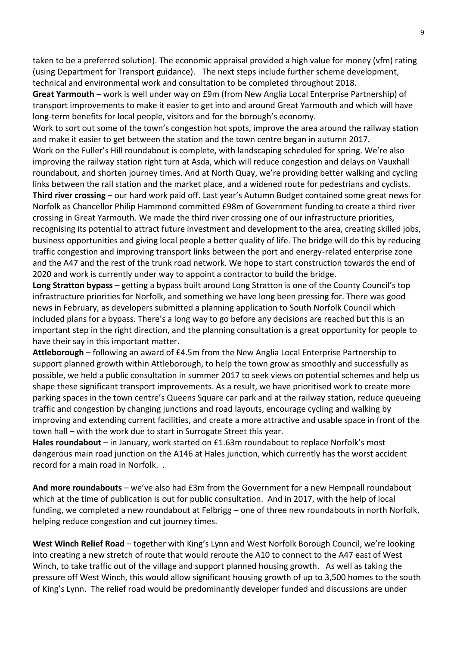taken to be a preferred solution). The economic appraisal provided a high value for money (vfm) rating (using Department for Transport guidance). The next steps include further scheme development, technical and environmental work and consultation to be completed throughout 2018.

**Great Yarmouth** – work is well under way on £9m (from New Anglia Local Enterprise Partnership) of transport improvements to make it easier to get into and around Great Yarmouth and which will have long-term benefits for local people, visitors and for the borough's economy.

Work to sort out some of the town's congestion hot spots, improve the area around the railway station and make it easier to get between the station and the town centre began in autumn 2017.

Work on the Fuller's Hill roundabout is complete, with landscaping scheduled for spring. We're also improving the railway station right turn at Asda, which will reduce congestion and delays on Vauxhall roundabout, and shorten journey times. And at North Quay, we're providing better walking and cycling links between the rail station and the market place, and a widened route for pedestrians and cyclists. **Third river crossing** – our hard work paid off. Last year's Autumn Budget contained some great news for

Norfolk as Chancellor Philip Hammond committed £98m of Government funding to create a third river crossing in Great Yarmouth. We made the third river crossing one of our infrastructure priorities, recognising its potential to attract future investment and development to the area, creating skilled jobs, business opportunities and giving local people a better quality of life. The bridge will do this by reducing traffic congestion and improving transport links between the port and energy-related enterprise zone and the A47 and the rest of the trunk road network. We hope to start construction towards the end of 2020 and work is currently under way to appoint a contractor to build the bridge.

**Long Stratton bypass** – getting a bypass built around Long Stratton is one of the County Council's top infrastructure priorities for Norfolk, and something we have long been pressing for. There was good news in February, as developers submitted a planning application to South Norfolk Council which included plans for a bypass. There's a long way to go before any decisions are reached but this is an important step in the right direction, and the planning consultation is a great opportunity for people to have their say in this important matter.

**Attleborough** – following an award of £4.5m from the New Anglia Local Enterprise Partnership to support planned growth within Attleborough, to help the town grow as smoothly and successfully as possible, we held a public consultation in summer 2017 to seek views on potential schemes and help us shape these significant transport improvements. As a result, we have prioritised work to create more parking spaces in the town centre's Queens Square car park and at the railway station, reduce queueing traffic and congestion by changing junctions and road layouts, encourage cycling and walking by improving and extending current facilities, and create a more attractive and usable space in front of the town hall – with the work due to start in Surrogate Street this year.

**Hales roundabout** – in January, work started on £1.63m roundabout to replace Norfolk's most dangerous main road junction on the A146 at Hales junction, which currently has the worst accident record for a main road in Norfolk. .

**And more roundabouts** – we've also had £3m from the Government for a new Hempnall roundabout which at the time of publication is out for public consultation. And in 2017, with the help of local funding, we completed a new roundabout at Felbrigg – one of three new roundabouts in north Norfolk, helping reduce congestion and cut journey times.

**West Winch Relief Road** – together with King's Lynn and West Norfolk Borough Council, we're looking into creating a new stretch of route that would reroute the A10 to connect to the A47 east of West Winch, to take traffic out of the village and support planned housing growth. As well as taking the pressure off West Winch, this would allow significant housing growth of up to 3,500 homes to the south of King's Lynn. The relief road would be predominantly developer funded and discussions are under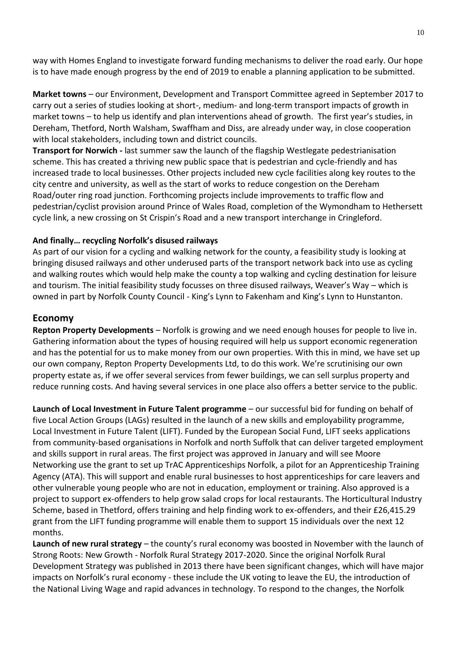way with Homes England to investigate forward funding mechanisms to deliver the road early. Our hope is to have made enough progress by the end of 2019 to enable a planning application to be submitted.

**Market towns** – our Environment, Development and Transport Committee agreed in September 2017 to carry out a series of studies looking at short-, medium- and long-term transport impacts of growth in market towns – to help us identify and plan interventions ahead of growth. The first year's studies, in Dereham, Thetford, North Walsham, Swaffham and Diss, are already under way, in close cooperation with local stakeholders, including town and district councils.

**Transport for Norwich -** last summer saw the launch of the flagship Westlegate pedestrianisation scheme. This has created a thriving new public space that is pedestrian and cycle-friendly and has increased trade to local businesses. Other projects included new cycle facilities along key routes to the city centre and university, as well as the start of works to reduce congestion on the Dereham Road/outer ring road junction. Forthcoming projects include improvements to traffic flow and pedestrian/cyclist provision around Prince of Wales Road, completion of the Wymondham to Hethersett cycle link, a new crossing on St Crispin's Road and a new transport interchange in Cringleford.

## **And finally… recycling Norfolk's disused railways**

As part of our vision for a cycling and walking network for the county, a feasibility study is looking at bringing disused railways and other underused parts of the transport network back into use as cycling and walking routes which would help make the county a top walking and cycling destination for leisure and tourism. The initial feasibility study focusses on three disused railways, Weaver's Way – which is owned in part by Norfolk County Council - King's Lynn to Fakenham and King's Lynn to Hunstanton.

# **Economy**

**Repton Property Developments** – Norfolk is growing and we need enough houses for people to live in. Gathering information about the types of housing required will help us support economic regeneration and has the potential for us to make money from our own properties. With this in mind, we have set up our own company, Repton Property Developments Ltd, to do this work. We're scrutinising our own property estate as, if we offer several services from fewer buildings, we can sell surplus property and reduce running costs. And having several services in one place also offers a better service to the public.

**Launch of Local Investment in Future Talent programme** – our successful bid for funding on behalf of five Local Action Groups (LAGs) resulted in the launch of a new skills and employability programme, Local Investment in Future Talent (LIFT). Funded by the European Social Fund, LIFT seeks applications from community-based organisations in Norfolk and north Suffolk that can deliver targeted employment and skills support in rural areas. The first project was approved in January and will see Moore Networking use the grant to set up TrAC Apprenticeships Norfolk, a pilot for an Apprenticeship Training Agency (ATA). This will support and enable rural businesses to host apprenticeships for care leavers and other vulnerable young people who are not in education, employment or training. Also approved is a project to support ex-offenders to help grow salad crops for local restaurants. The Horticultural Industry Scheme, based in Thetford, offers training and help finding work to ex-offenders, and their £26,415.29 grant from the LIFT funding programme will enable them to support 15 individuals over the next 12 months.

**Launch of new rural strategy** – the county's rural economy was boosted in November with the launch of Strong Roots: New Growth - Norfolk Rural Strategy 2017-2020. Since the original Norfolk Rural Development Strategy was published in 2013 there have been significant changes, which will have major impacts on Norfolk's rural economy - these include the UK voting to leave the EU, the introduction of the National Living Wage and rapid advances in technology. To respond to the changes, the Norfolk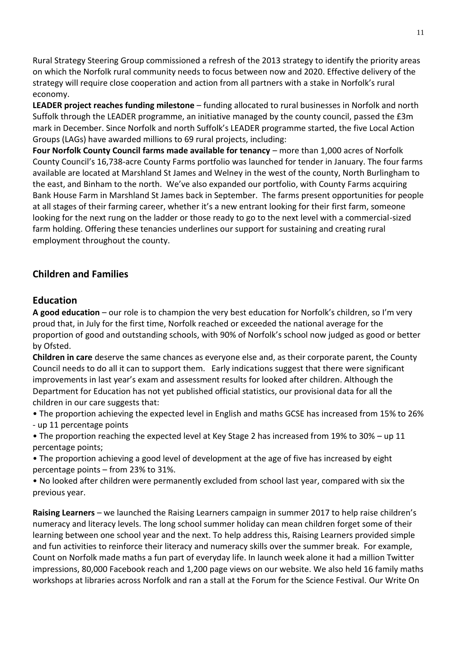Rural Strategy Steering Group commissioned a refresh of the 2013 strategy to identify the priority areas on which the Norfolk rural community needs to focus between now and 2020. Effective delivery of the strategy will require close cooperation and action from all partners with a stake in Norfolk's rural economy.

**LEADER project reaches funding milestone** – funding allocated to rural businesses in Norfolk and north Suffolk through the LEADER programme, an initiative managed by the county council, passed the £3m mark in December. Since Norfolk and north Suffolk's LEADER programme started, the five Local Action Groups (LAGs) have awarded millions to 69 rural projects, including:

**Four Norfolk County Council farms made available for tenancy** – more than 1,000 acres of Norfolk County Council's 16,738-acre County Farms portfolio was launched for tender in January. The four farms available are located at Marshland St James and Welney in the west of the county, North Burlingham to the east, and Binham to the north. We've also expanded our portfolio, with County Farms acquiring Bank House Farm in Marshland St James back in September. The farms present opportunities for people at all stages of their farming career, whether it's a new entrant looking for their first farm, someone looking for the next rung on the ladder or those ready to go to the next level with a commercial-sized farm holding. Offering these tenancies underlines our support for sustaining and creating rural employment throughout the county.

# **Children and Families**

# **Education**

**A good education** – our role is to champion the very best education for Norfolk's children, so I'm very proud that, in July for the first time, Norfolk reached or exceeded the national average for the proportion of good and outstanding schools, with 90% of Norfolk's school now judged as good or better by Ofsted.

**Children in care** deserve the same chances as everyone else and, as their corporate parent, the County Council needs to do all it can to support them. Early indications suggest that there were significant improvements in last year's exam and assessment results for looked after children. Although the Department for Education has not yet published official statistics, our provisional data for all the children in our care suggests that:

• The proportion achieving the expected level in English and maths GCSE has increased from 15% to 26%

- up 11 percentage points

• The proportion reaching the expected level at Key Stage 2 has increased from 19% to 30% – up 11 percentage points;

• The proportion achieving a good level of development at the age of five has increased by eight percentage points – from 23% to 31%.

• No looked after children were permanently excluded from school last year, compared with six the previous year.

**Raising Learners** – we launched the Raising Learners campaign in summer 2017 to help raise children's numeracy and literacy levels. The long school summer holiday can mean children forget some of their learning between one school year and the next. To help address this, Raising Learners provided simple and fun activities to reinforce their literacy and numeracy skills over the summer break. For example, Count on Norfolk made maths a fun part of everyday life. In launch week alone it had a million Twitter impressions, 80,000 Facebook reach and 1,200 page views on our website. We also held 16 family maths workshops at libraries across Norfolk and ran a stall at the Forum for the Science Festival. Our Write On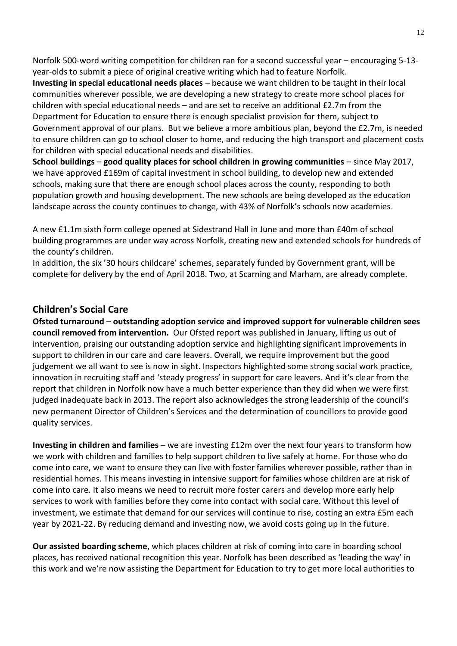Norfolk 500-word writing competition for children ran for a second successful year – encouraging 5-13 year-olds to submit a piece of original creative writing which had to feature Norfolk.

**Investing in special educational needs places** – because we want children to be taught in their local communities wherever possible, we are developing a new strategy to create more school places for children with special educational needs – and are set to receive an additional £2.7m from the Department for Education to ensure there is enough specialist provision for them, subject to Government approval of our plans. But we believe a more ambitious plan, beyond the £2.7m, is needed to ensure children can go to school closer to home, and reducing the high transport and placement costs for children with special educational needs and disabilities.

**School buildings** – **good quality places for school children in growing communities** – since May 2017, we have approved £169m of capital investment in school building, to develop new and extended schools, making sure that there are enough school places across the county, responding to both population growth and housing development. The new schools are being developed as the education landscape across the county continues to change, with 43% of Norfolk's schools now academies.

A new £1.1m sixth form college opened at Sidestrand Hall in June and more than £40m of school building programmes are under way across Norfolk, creating new and extended schools for hundreds of the county's children.

In addition, the six '30 hours childcare' schemes, separately funded by Government grant, will be complete for delivery by the end of April 2018. Two, at Scarning and Marham, are already complete.

# **Children's Social Care**

**Ofsted turnaround** – **outstanding adoption service and improved support for vulnerable children sees council removed from intervention.** Our Ofsted report was published in January, lifting us out of intervention, praising our outstanding adoption service and highlighting significant improvements in support to children in our care and care leavers. Overall, we require improvement but the good judgement we all want to see is now in sight. Inspectors highlighted some strong social work practice, innovation in recruiting staff and 'steady progress' in support for care leavers. And it's clear from the report that children in Norfolk now have a much better experience than they did when we were first judged inadequate back in 2013. The report also acknowledges the strong leadership of the council's new permanent Director of Children's Services and the determination of councillors to provide good quality services.

**Investing in children and families** – we are investing £12m over the next four years to transform how we work with children and families to help support children to live safely at home. For those who do come into care, we want to ensure they can live with foster families wherever possible, rather than in residential homes. This means investing in intensive support for families whose children are at risk of come into care. It also means we need to recruit more foster carers and develop more early help services to work with families before they come into contact with social care. Without this level of investment, we estimate that demand for our services will continue to rise, costing an extra £5m each year by 2021-22. By reducing demand and investing now, we avoid costs going up in the future.

**Our assisted boarding scheme**, which places children at risk of coming into care in boarding school places, has received national recognition this year. Norfolk has been described as 'leading the way' in this work and we're now assisting the Department for Education to try to get more local authorities to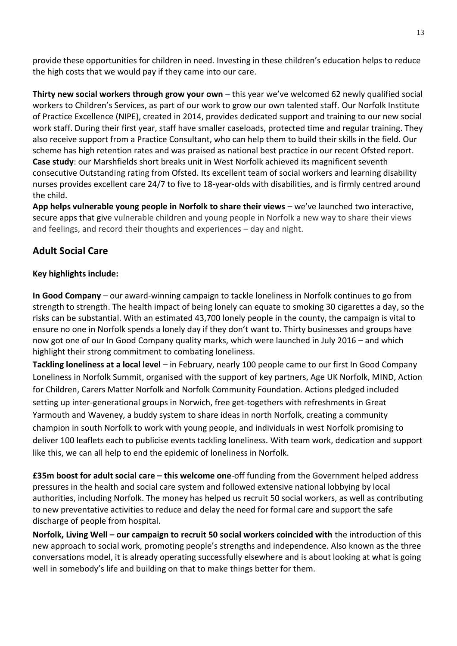provide these opportunities for children in need. Investing in these children's education helps to reduce the high costs that we would pay if they came into our care.

**Thirty new social workers through grow your own** – this year we've welcomed 62 newly qualified social workers to Children's Services, as part of our work to grow our own talented staff. Our Norfolk Institute of Practice Excellence (NIPE), created in 2014, provides dedicated support and training to our new social work staff. During their first year, staff have smaller caseloads, protected time and regular training. They also receive support from a Practice Consultant, who can help them to build their skills in the field. Our scheme has high retention rates and was praised as national best practice in our recent Ofsted report. **Case study**: our Marshfields short breaks unit in West Norfolk achieved its magnificent seventh consecutive Outstanding rating from Ofsted. Its excellent team of social workers and learning disability nurses provides excellent care 24/7 to five to 18-year-olds with disabilities, and is firmly centred around the child.

**App helps vulnerable young people in Norfolk to share their views** – we've launched two interactive, secure apps that give vulnerable children and young people in Norfolk a new way to share their views and feelings, and record their thoughts and experiences – day and night.

# **Adult Social Care**

# **Key highlights include:**

**In Good Company** – our award-winning campaign to tackle loneliness in Norfolk continues to go from strength to strength. The health impact of being lonely can equate to smoking 30 cigarettes a day, so the risks can be substantial. With an estimated 43,700 lonely people in the county, the campaign is vital to ensure no one in Norfolk spends a lonely day if they don't want to. Thirty businesses and groups have now got one of our In Good Company quality marks, which were launched in July 2016 – and which highlight their strong commitment to combating loneliness.

**Tackling loneliness at a local level** – in February, nearly 100 people came to our first In Good Company Loneliness in Norfolk Summit, organised with the support of key partners, Age UK Norfolk, MIND, Action for Children, Carers Matter Norfolk and Norfolk Community Foundation. Actions pledged included setting up inter-generational groups in Norwich, free get-togethers with refreshments in Great Yarmouth and Waveney, a buddy system to share ideas in north Norfolk, creating a community champion in south Norfolk to work with young people, and individuals in west Norfolk promising to deliver 100 leaflets each to publicise events tackling loneliness. With team work, dedication and support like this, we can all help to end the epidemic of loneliness in Norfolk.

**£35m boost for adult social care – this welcome one**-off funding from the Government helped address pressures in the health and social care system and followed extensive national lobbying by local authorities, including Norfolk. The money has helped us recruit 50 social workers, as well as contributing to new preventative activities to reduce and delay the need for formal care and support the safe discharge of people from hospital.

**Norfolk, Living Well – our campaign to recruit 50 social workers coincided with** the introduction of this new approach to social work, promoting people's strengths and independence. Also known as the three conversations model, it is already operating successfully elsewhere and is about looking at what is going well in somebody's life and building on that to make things better for them.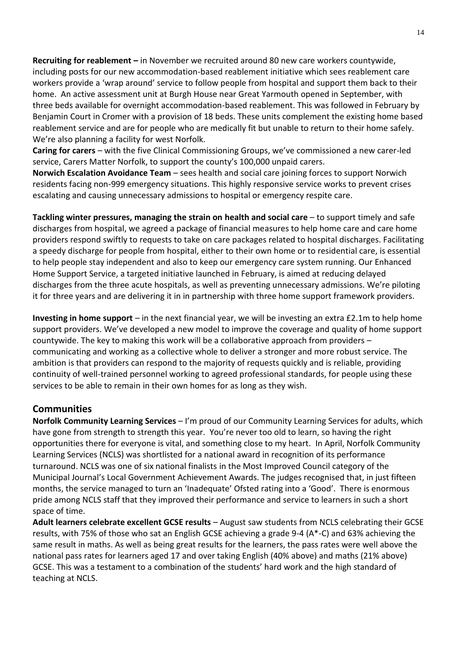**Recruiting for reablement –** in November we recruited around 80 new care workers countywide, including posts for our new accommodation-based reablement initiative which sees reablement care workers provide a 'wrap around' service to follow people from hospital and support them back to their home. An active assessment unit at Burgh House near Great Yarmouth opened in September, with three beds available for overnight accommodation-based reablement. This was followed in February by Benjamin Court in Cromer with a provision of 18 beds. These units complement the existing home based reablement service and are for people who are medically fit but unable to return to their home safely. We're also planning a facility for west Norfolk.

**Caring for carers** – with the five Clinical Commissioning Groups, we've commissioned a new carer-led service, Carers Matter Norfolk, to support the county's 100,000 unpaid carers.

**Norwich Escalation Avoidance Team** – sees health and social care joining forces to support Norwich residents facing non-999 emergency situations. This highly responsive service works to prevent crises escalating and causing unnecessary admissions to hospital or emergency respite care.

**Tackling winter pressures, managing the strain on health and social care** – to support timely and safe discharges from hospital, we agreed a package of financial measures to help home care and care home providers respond swiftly to requests to take on care packages related to hospital discharges. Facilitating a speedy discharge for people from hospital, either to their own home or to residential care, is essential to help people stay independent and also to keep our emergency care system running. Our Enhanced Home Support Service, a targeted initiative launched in February, is aimed at reducing delayed discharges from the three acute hospitals, as well as preventing unnecessary admissions. We're piloting it for three years and are delivering it in in partnership with three home support framework providers.

**Investing in home support** – in the next financial year, we will be investing an extra £2.1m to help home support providers. We've developed a new model to improve the coverage and quality of home support countywide. The key to making this work will be a collaborative approach from providers – communicating and working as a collective whole to deliver a stronger and more robust service. The ambition is that providers can respond to the majority of requests quickly and is reliable, providing continuity of well-trained personnel working to agreed professional standards, for people using these services to be able to remain in their own homes for as long as they wish.

# **Communities**

**Norfolk Community Learning Services** – I'm proud of our Community Learning Services for adults, which have gone from strength to strength this year. You're never too old to learn, so having the right opportunities there for everyone is vital, and something close to my heart. In April, Norfolk Community Learning Services (NCLS) was shortlisted for a national award in recognition of its performance turnaround. NCLS was one of six national finalists in the Most Improved Council category of the Municipal Journal's Local Government Achievement Awards. The judges recognised that, in just fifteen months, the service managed to turn an 'Inadequate' Ofsted rating into a 'Good'. There is enormous pride among NCLS staff that they improved their performance and service to learners in such a short space of time.

**Adult learners celebrate excellent GCSE results** – August saw students from NCLS celebrating their GCSE results, with 75% of those who sat an English GCSE achieving a grade 9-4 (A\*-C) and 63% achieving the same result in maths. As well as being great results for the learners, the pass rates were well above the national pass rates for learners aged 17 and over taking English (40% above) and maths (21% above) GCSE. This was a testament to a combination of the students' hard work and the high standard of teaching at NCLS.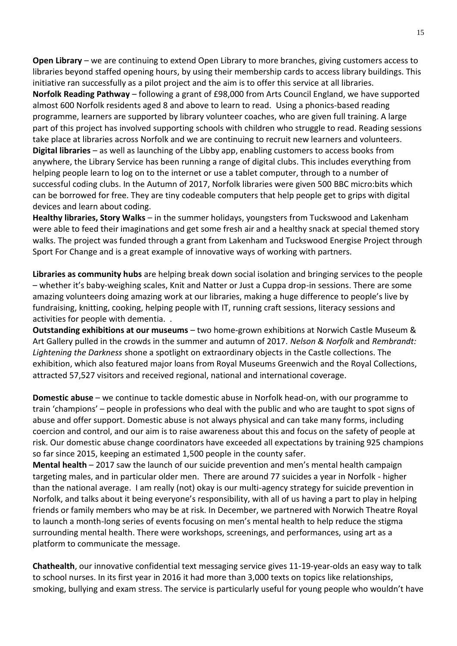**Open Library** – we are continuing to extend Open Library to more branches, giving customers access to libraries beyond staffed opening hours, by using their membership cards to access library buildings. This initiative ran successfully as a pilot project and the aim is to offer this service at all libraries. **Norfolk Reading Pathway** – following a grant of £98,000 from Arts Council England, we have supported almost 600 Norfolk residents aged 8 and above to learn to read. Using a phonics-based reading programme, learners are supported by library volunteer coaches, who are given full training. A large part of this project has involved supporting schools with children who struggle to read. Reading sessions take place at libraries across Norfolk and we are continuing to recruit new learners and volunteers. **Digital libraries** – as well as launching of the Libby app, enabling customers to access books from anywhere, the Library Service has been running a range of digital clubs. This includes everything from helping people learn to log on to the internet or use a tablet computer, through to a number of successful coding clubs. In the Autumn of 2017, Norfolk libraries were given 500 BBC micro:bits which can be borrowed for free. They are tiny codeable computers that help people get to grips with digital devices and learn about coding.

**Healthy libraries, Story Walks** – in the summer holidays, youngsters from Tuckswood and Lakenham were able to feed their imaginations and get some fresh air and a healthy snack at special themed story walks. The project was funded through a grant from Lakenham and Tuckswood Energise Project through Sport For Change and is a great example of innovative ways of working with partners.

**Libraries as community hubs** are helping break down social isolation and bringing services to the people – whether it's baby-weighing scales, Knit and Natter or Just a Cuppa drop-in sessions. There are some amazing volunteers doing amazing work at our libraries, making a huge difference to people's live by fundraising, knitting, cooking, helping people with IT, running craft sessions, literacy sessions and activities for people with dementia. .

**Outstanding exhibitions at our museums** – two home-grown exhibitions at Norwich Castle Museum & Art Gallery pulled in the crowds in the summer and autumn of 2017. *Nelson & Norfolk* and *Rembrandt: Lightening the Darkness* shone a spotlight on extraordinary objects in the Castle collections. The exhibition, which also featured major loans from Royal Museums Greenwich and the Royal Collections, attracted 57,527 visitors and received regional, national and international coverage.

**Domestic abuse** – we continue to tackle domestic abuse in Norfolk head-on, with our programme to train 'champions' – people in professions who deal with the public and who are taught to spot signs of abuse and offer support. Domestic abuse is not always physical and can take many forms, including coercion and control, and our aim is to raise awareness about this and focus on the safety of people at risk. Our domestic abuse change coordinators have exceeded all expectations by training 925 champions so far since 2015, keeping an estimated 1,500 people in the county safer.

**Mental health** – 2017 saw the launch of our suicide prevention and men's mental health campaign targeting males, and in particular older men. There are around 77 suicides a year in Norfolk - higher than the national average. I am really (not) okay is our multi-agency strategy for suicide prevention in Norfolk, and talks about it being everyone's responsibility, with all of us having a part to play in helping friends or family members who may be at risk. In December, we partnered with Norwich Theatre Royal to launch a month-long series of events focusing on men's mental health to help reduce the stigma surrounding mental health. There were workshops, screenings, and performances, using art as a platform to communicate the message.

**Chathealth**, our innovative confidential text messaging service gives 11-19-year-olds an easy way to talk to school nurses. In its first year in 2016 it had more than 3,000 texts on topics like relationships, smoking, bullying and exam stress. The service is particularly useful for young people who wouldn't have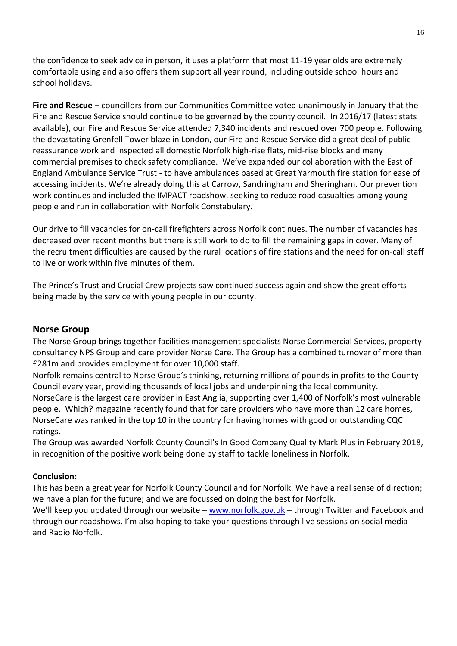the confidence to seek advice in person, it uses a platform that most 11-19 year olds are extremely comfortable using and also offers them support all year round, including outside school hours and school holidays.

**Fire and Rescue** – councillors from our Communities Committee voted unanimously in January that the Fire and Rescue Service should continue to be governed by the county council.In 2016/17 (latest stats available), our Fire and Rescue Service attended 7,340 incidents and rescued over 700 people. Following the devastating Grenfell Tower blaze in London, our Fire and Rescue Service did a great deal of public reassurance work and inspected all domestic Norfolk high-rise flats, mid-rise blocks and many commercial premises to check safety compliance.We've expanded our collaboration with the East of England Ambulance Service Trust - to have ambulances based at Great Yarmouth fire station for ease of accessing incidents. We're already doing this at Carrow, Sandringham and Sheringham. Our prevention work continues and included the IMPACT roadshow, seeking to reduce road casualties among young people and run in collaboration with Norfolk Constabulary.

Our drive to fill vacancies for on-call firefighters across Norfolk continues. The number of vacancies has decreased over recent months but there is still work to do to fill the remaining gaps in cover. Many of the recruitment difficulties are caused by the rural locations of fire stations and the need for on-call staff to live or work within five minutes of them.

The Prince's Trust and Crucial Crew projects saw continued success again and show the great efforts being made by the service with young people in our county.

# **Norse Group**

The Norse Group brings together facilities management specialists Norse Commercial Services, property consultancy NPS Group and care provider Norse Care. The Group has a combined turnover of more than £281m and provides employment for over 10,000 staff.

Norfolk remains central to Norse Group's thinking, returning millions of pounds in profits to the County Council every year, providing thousands of local jobs and underpinning the local community. NorseCare is the largest care provider in East Anglia, supporting over 1,400 of Norfolk's most vulnerable people. Which? magazine recently found that for care providers who have more than 12 care homes, NorseCare was ranked in the top 10 in the country for having homes with good or outstanding CQC ratings.

The Group was awarded Norfolk County Council's In Good Company Quality Mark Plus in February 2018, in recognition of the positive work being done by staff to tackle loneliness in Norfolk.

## **Conclusion:**

This has been a great year for Norfolk County Council and for Norfolk. We have a real sense of direction; we have a plan for the future; and we are focussed on doing the best for Norfolk.

We'll keep you updated through our website – [www.norfolk.gov.uk](http://www.norfolk.gov.uk/) – through Twitter and Facebook and through our roadshows. I'm also hoping to take your questions through live sessions on social media and Radio Norfolk.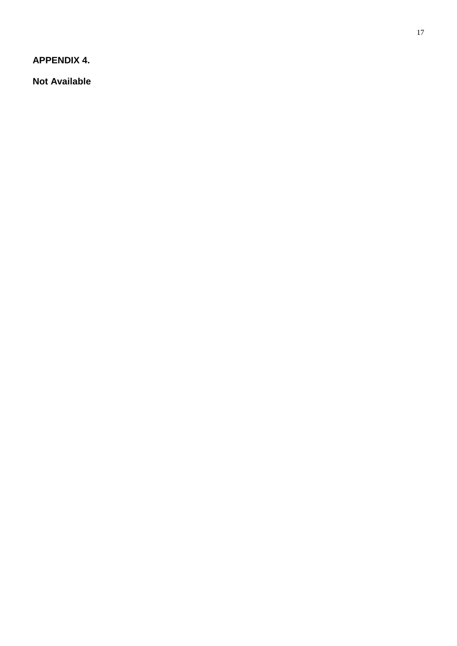**APPENDIX 4.**

**Not Available**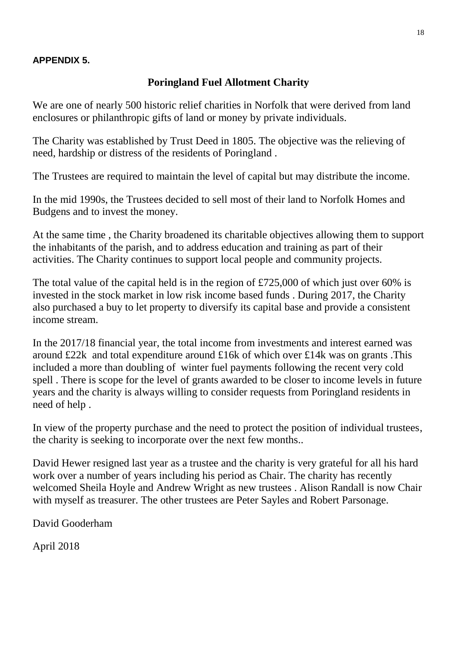# **APPENDIX 5.**

# **Poringland Fuel Allotment Charity**

We are one of nearly 500 historic relief charities in Norfolk that were derived from land enclosures or philanthropic gifts of land or money by private individuals.

The Charity was established by Trust Deed in 1805. The objective was the relieving of need, hardship or distress of the residents of Poringland .

The Trustees are required to maintain the level of capital but may distribute the income.

In the mid 1990s, the Trustees decided to sell most of their land to Norfolk Homes and Budgens and to invest the money.

At the same time , the Charity broadened its charitable objectives allowing them to support the inhabitants of the parish, and to address education and training as part of their activities. The Charity continues to support local people and community projects.

The total value of the capital held is in the region of £725,000 of which just over 60% is invested in the stock market in low risk income based funds . During 2017, the Charity also purchased a buy to let property to diversify its capital base and provide a consistent income stream.

In the 2017/18 financial year, the total income from investments and interest earned was around £22k and total expenditure around £16k of which over £14k was on grants .This included a more than doubling of winter fuel payments following the recent very cold spell . There is scope for the level of grants awarded to be closer to income levels in future years and the charity is always willing to consider requests from Poringland residents in need of help .

In view of the property purchase and the need to protect the position of individual trustees, the charity is seeking to incorporate over the next few months..

David Hewer resigned last year as a trustee and the charity is very grateful for all his hard work over a number of years including his period as Chair. The charity has recently welcomed Sheila Hoyle and Andrew Wright as new trustees . Alison Randall is now Chair with myself as treasurer. The other trustees are Peter Sayles and Robert Parsonage.

David Gooderham

April 2018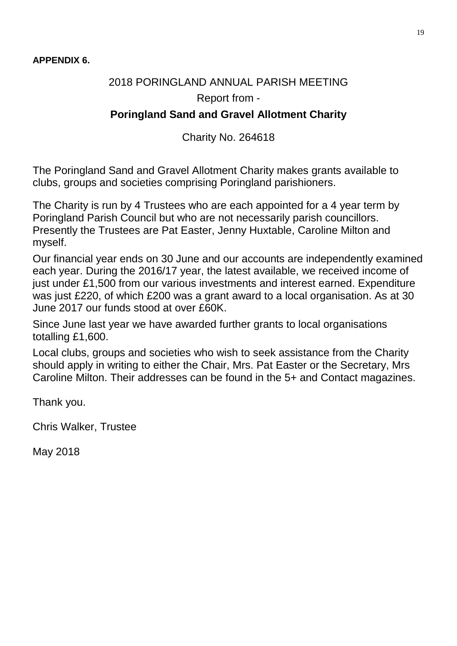# 2018 PORINGLAND ANNUAL PARISH MEETING Report from -

# **Poringland Sand and Gravel Allotment Charity**

Charity No. 264618

The Poringland Sand and Gravel Allotment Charity makes grants available to clubs, groups and societies comprising Poringland parishioners.

The Charity is run by 4 Trustees who are each appointed for a 4 year term by Poringland Parish Council but who are not necessarily parish councillors. Presently the Trustees are Pat Easter, Jenny Huxtable, Caroline Milton and myself.

Our financial year ends on 30 June and our accounts are independently examined each year. During the 2016/17 year, the latest available, we received income of just under £1,500 from our various investments and interest earned. Expenditure was just £220, of which £200 was a grant award to a local organisation. As at 30 June 2017 our funds stood at over £60K.

Since June last year we have awarded further grants to local organisations totalling £1,600.

Local clubs, groups and societies who wish to seek assistance from the Charity should apply in writing to either the Chair, Mrs. Pat Easter or the Secretary, Mrs Caroline Milton. Their addresses can be found in the 5+ and Contact magazines.

Thank you.

Chris Walker, Trustee

May 2018